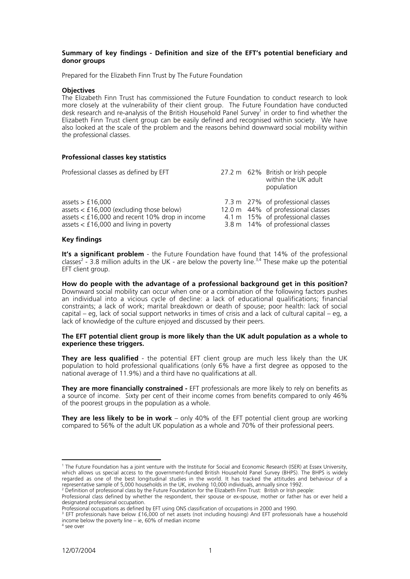# **Summary of key findings - Definition and size of the EFT's potential beneficiary and donor groups**

Prepared for the Elizabeth Finn Trust by The Future Foundation

## **Objectives**

The Elizabeth Finn Trust has commissioned the Future Foundation to conduct research to look more closely at the vulnerability of their client group. The Future Foundation have conducted desk research and re-analysis of the British Household Panel Survey<sup>1</sup> in order to find whether the Elizabeth Finn Trust client group can be easily defined and recognised within society. We have also looked at the scale of the problem and the reasons behind downward social mobility within the professional classes.

## **Professional classes key statistics**

| Professional classes as defined by EFT                                                                                                                             |  | 27.2 m 62% British or Irish people<br>within the UK adult<br>population                                                                           |
|--------------------------------------------------------------------------------------------------------------------------------------------------------------------|--|---------------------------------------------------------------------------------------------------------------------------------------------------|
| assets $>$ £16,000<br>assets $\lt$ £16,000 (excluding those below)<br>assets $<$ £16,000 and recent 10% drop in income<br>assets $<$ £16,000 and living in poverty |  | 7.3 m 27% of professional classes<br>12.0 m 44% of professional classes<br>4.1 m 15% of professional classes<br>3.8 m 14% of professional classes |

## **Key findings**

**It's a significant problem** - the Future Foundation have found that 14% of the professional classes<sup>2</sup> - 3.8 million adults in the UK - are below the poverty line.<sup>3,4</sup> These make up the potential EFT client group.

**How do people with the advantage of a professional background get in this position?** Downward social mobility can occur when one or a combination of the following factors pushes an individual into a vicious cycle of decline: a lack of educational qualifications; financial constraints; a lack of work; marital breakdown or death of spouse; poor health: lack of social capital – eg, lack of social support networks in times of crisis and a lack of cultural capital – eg, a lack of knowledge of the culture enjoyed and discussed by their peers.

## **The EFT potential client group is more likely than the UK adult population as a whole to experience these triggers.**

**They are less qualified** - the potential EFT client group are much less likely than the UK population to hold professional qualifications (only 6% have a first degree as opposed to the national average of 11.9%) and a third have no qualifications at all.

**They are more financially constrained -** EFT professionals are more likely to rely on benefits as a source of income. Sixty per cent of their income comes from benefits compared to only 46% of the poorest groups in the population as a whole.

**They are less likely to be in work** – only 40% of the EFT potential client group are working compared to 56% of the adult UK population as a whole and 70% of their professional peers.

 $\overline{a}$ 

<sup>1</sup> The Future Foundation has a joint venture with the Institute for Social and Economic Research (ISER) at Essex University, which allows us special access to the government-funded British Household Panel Survey (BHPS). The BHPS is widely regarded as one of the best longitudinal studies in the world. It has tracked the attitudes and behaviour of a representative sample of 5,000 households in the UK, involving 10,000 individuals, annually since 1992. <sup>2</sup> Definition of professional class by the Future Foundation for the Elizabeth Finn Trust: British or Irish people:

Professional class defined by whether the respondent, their spouse or ex-spouse, mother or father has or ever held a designated professional occupation.

Professional occupations as defined by EFT using ONS classification of occupations in 2000 and 1990.

<sup>3</sup> EFT professionals have below £16,000 of net assets (not including housing) And EFT professionals have a household income below the poverty line – ie, 60% of median income

<sup>4</sup> see over